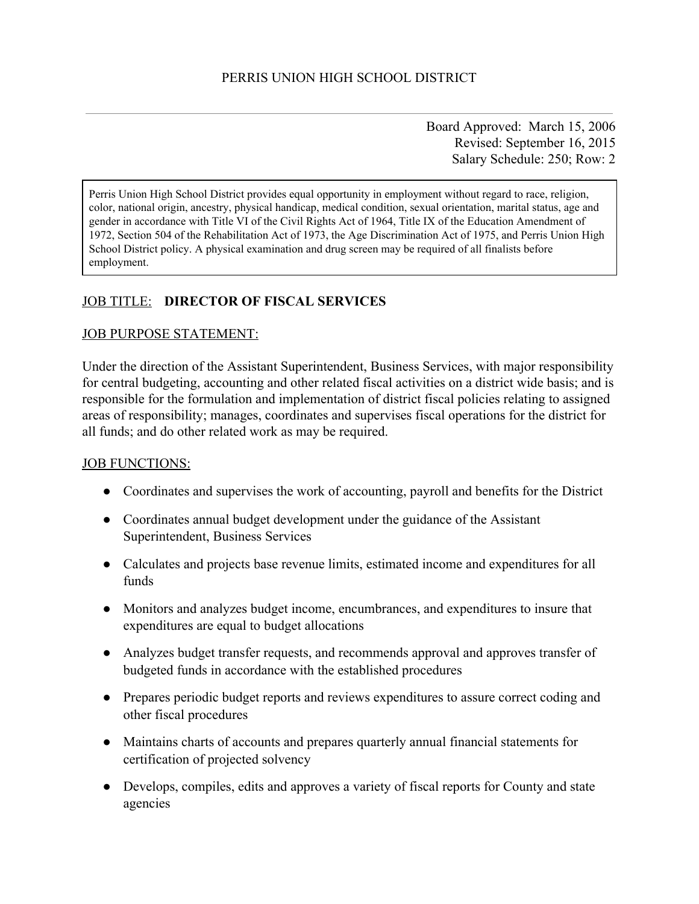Board Approved: March 15, 2006 Revised: September 16, 2015 Salary Schedule: 250; Row: 2

Perris Union High School District provides equal opportunity in employment without regard to race, religion, color, national origin, ancestry, physical handicap, medical condition, sexual orientation, marital status, age and gender in accordance with Title VI of the Civil Rights Act of 1964, Title IX of the Education Amendment of 1972, Section 504 of the Rehabilitation Act of 1973, the Age Discrimination Act of 1975, and Perris Union High School District policy. A physical examination and drug screen may be required of all finalists before employment.

# JOB TITLE: **DIRECTOR OF FISCAL SERVICES**

#### JOB PURPOSE STATEMENT:

Under the direction of the Assistant Superintendent, Business Services, with major responsibility for central budgeting, accounting and other related fiscal activities on a district wide basis; and is responsible for the formulation and implementation of district fiscal policies relating to assigned areas of responsibility; manages, coordinates and supervises fiscal operations for the district for all funds; and do other related work as may be required.

## JOB FUNCTIONS:

- Coordinates and supervises the work of accounting, payroll and benefits for the District
- Coordinates annual budget development under the guidance of the Assistant Superintendent, Business Services
- Calculates and projects base revenue limits, estimated income and expenditures for all funds
- Monitors and analyzes budget income, encumbrances, and expenditures to insure that expenditures are equal to budget allocations
- Analyzes budget transfer requests, and recommends approval and approves transfer of budgeted funds in accordance with the established procedures
- Prepares periodic budget reports and reviews expenditures to assure correct coding and other fiscal procedures
- Maintains charts of accounts and prepares quarterly annual financial statements for certification of projected solvency
- Develops, compiles, edits and approves a variety of fiscal reports for County and state agencies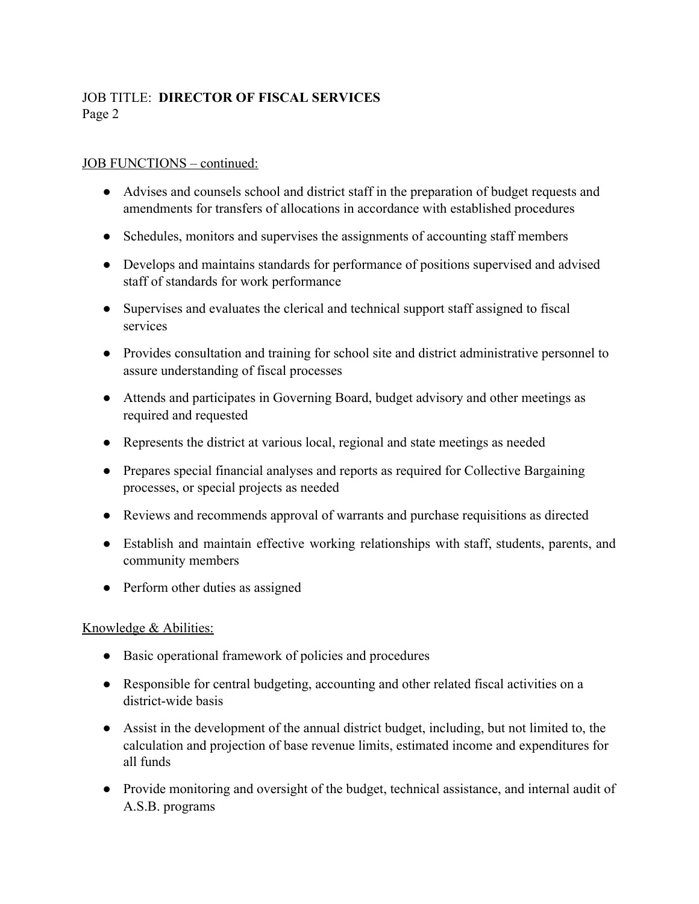# JOB TITLE: **DIRECTOR OF FISCAL SERVICES** Page 2

### JOB FUNCTIONS – continued:

- Advises and counsels school and district staff in the preparation of budget requests and amendments for transfers of allocations in accordance with established procedures
- Schedules, monitors and supervises the assignments of accounting staff members
- Develops and maintains standards for performance of positions supervised and advised staff of standards for work performance
- Supervises and evaluates the clerical and technical support staff assigned to fiscal services
- Provides consultation and training for school site and district administrative personnel to assure understanding of fiscal processes
- Attends and participates in Governing Board, budget advisory and other meetings as required and requested
- Represents the district at various local, regional and state meetings as needed
- Prepares special financial analyses and reports as required for Collective Bargaining processes, or special projects as needed
- Reviews and recommends approval of warrants and purchase requisitions as directed
- Establish and maintain effective working relationships with staff, students, parents, and community members
- Perform other duties as assigned

## Knowledge & Abilities:

- Basic operational framework of policies and procedures
- Responsible for central budgeting, accounting and other related fiscal activities on a district-wide basis
- Assist in the development of the annual district budget, including, but not limited to, the calculation and projection of base revenue limits, estimated income and expenditures for all funds
- Provide monitoring and oversight of the budget, technical assistance, and internal audit of A.S.B. programs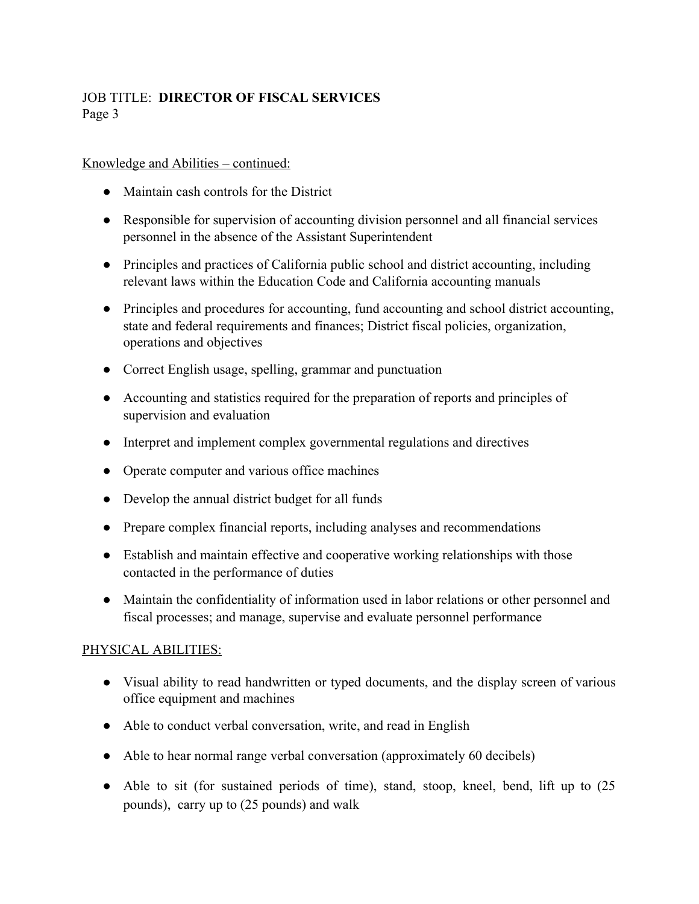# JOB TITLE: **DIRECTOR OF FISCAL SERVICES** Page 3

#### Knowledge and Abilities – continued:

- Maintain cash controls for the District
- Responsible for supervision of accounting division personnel and all financial services personnel in the absence of the Assistant Superintendent
- Principles and practices of California public school and district accounting, including relevant laws within the Education Code and California accounting manuals
- Principles and procedures for accounting, fund accounting and school district accounting, state and federal requirements and finances; District fiscal policies, organization, operations and objectives
- Correct English usage, spelling, grammar and punctuation
- Accounting and statistics required for the preparation of reports and principles of supervision and evaluation
- Interpret and implement complex governmental regulations and directives
- Operate computer and various office machines
- Develop the annual district budget for all funds
- Prepare complex financial reports, including analyses and recommendations
- Establish and maintain effective and cooperative working relationships with those contacted in the performance of duties
- Maintain the confidentiality of information used in labor relations or other personnel and fiscal processes; and manage, supervise and evaluate personnel performance

## PHYSICAL ABILITIES:

- Visual ability to read handwritten or typed documents, and the display screen of various office equipment and machines
- Able to conduct verbal conversation, write, and read in English
- Able to hear normal range verbal conversation (approximately 60 decibels)
- Able to sit (for sustained periods of time), stand, stoop, kneel, bend, lift up to (25) pounds), carry up to (25 pounds) and walk